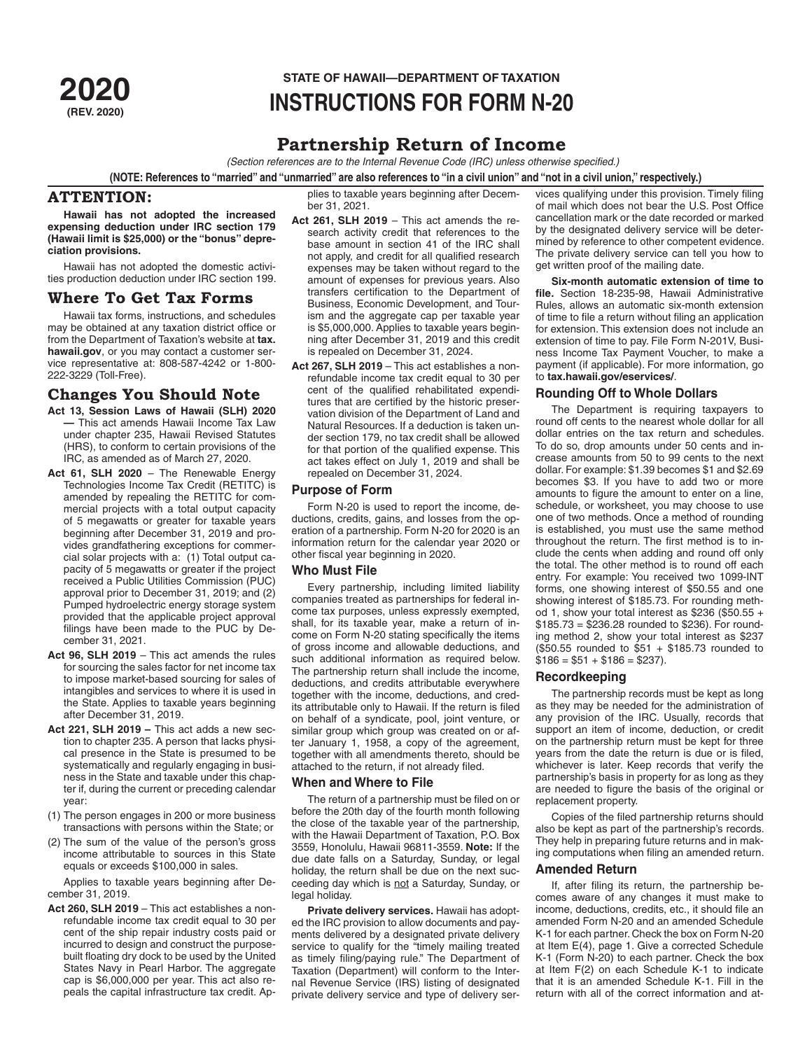# **STATE OF HAWAII—DEPARTMENT OF TAXATION<br>2020 INSTRIJCTIONS FOR FORM N-2 (REV. 2020) INSTRUCTIONS FOR FORM N-20**

# **Partnership Return of Income**

*(Section references are to the Internal Revenue Code (IRC) unless otherwise specified.)*

**(NOTE: References to "married" and "unmarried" are also references to "in a civil union" and "not in a civil union," respectively.)**

# **ATTENTION:**

**Hawaii has not adopted the increased expensing deduction under IRC section 179 (Hawaii limit is \$25,000) or the "bonus" depreciation provisions.**

Hawaii has not adopted the domestic activities production deduction under IRC section 199.

# **Where To Get Tax Forms**

Hawaii tax forms, instructions, and schedules may be obtained at any taxation district office or from the Department of Taxation's website at **tax. hawaii.gov**, or you may contact a customer service representative at: 808-587-4242 or 1-800- 222-3229 (Toll-Free).

# **Changes You Should Note**

- **Act 13, Session Laws of Hawaii (SLH) 2020 —** This act amends Hawaii Income Tax Law under chapter 235, Hawaii Revised Statutes (HRS), to conform to certain provisions of the IRC, as amended as of March 27, 2020.
- **Act 61, SLH 2020** The Renewable Energy Technologies Income Tax Credit (RETITC) is amended by repealing the RETITC for commercial projects with a total output capacity of 5 megawatts or greater for taxable years beginning after December 31, 2019 and provides grandfathering exceptions for commercial solar projects with a: (1) Total output capacity of 5 megawatts or greater if the project received a Public Utilities Commission (PUC) approval prior to December 31, 2019; and (2) Pumped hydroelectric energy storage system provided that the applicable project approval filings have been made to the PUC by December 31, 2021.
- **Act 96, SLH 2019** This act amends the rules for sourcing the sales factor for net income tax to impose market-based sourcing for sales of intangibles and services to where it is used in the State. Applies to taxable years beginning after December 31, 2019.
- **Act 221, SLH 2019** This act adds a new section to chapter 235. A person that lacks physical presence in the State is presumed to be systematically and regularly engaging in business in the State and taxable under this chapter if, during the current or preceding calendar year:
- (1) The person engages in 200 or more business transactions with persons within the State; or
- (2) The sum of the value of the person's gross income attributable to sources in this State equals or exceeds \$100,000 in sales.

Applies to taxable years beginning after December 31, 2019.

**Act 260, SLH 2019** – This act establishes a nonrefundable income tax credit equal to 30 per cent of the ship repair industry costs paid or incurred to design and construct the purposebuilt floating dry dock to be used by the United States Navy in Pearl Harbor. The aggregate cap is \$6,000,000 per year. This act also repeals the capital infrastructure tax credit. Applies to taxable years beginning after December 31, 2021.

- **Act 261, SLH 2019**  This act amends the research activity credit that references to the base amount in section 41 of the IRC shall not apply, and credit for all qualified research expenses may be taken without regard to the amount of expenses for previous years. Also transfers certification to the Department of Business, Economic Development, and Tourism and the aggregate cap per taxable year is \$5,000,000. Applies to taxable years beginning after December 31, 2019 and this credit is repealed on December 31, 2024.
- **Act 267, SLH 2019**  This act establishes a nonrefundable income tax credit equal to 30 per cent of the qualified rehabilitated expenditures that are certified by the historic preservation division of the Department of Land and Natural Resources. If a deduction is taken under section 179, no tax credit shall be allowed for that portion of the qualified expense. This act takes effect on July 1, 2019 and shall be repealed on December 31, 2024.

# **Purpose of Form**

Form N-20 is used to report the income, deductions, credits, gains, and losses from the operation of a partnership. Form N-20 for 2020 is an information return for the calendar year 2020 or other fiscal year beginning in 2020.

## **Who Must File**

Every partnership, including limited liability companies treated as partnerships for federal income tax purposes, unless expressly exempted, shall, for its taxable year, make a return of income on Form N-20 stating specifically the items of gross income and allowable deductions, and such additional information as required below. The partnership return shall include the income, deductions, and credits attributable everywhere together with the income, deductions, and credits attributable only to Hawaii. If the return is filed on behalf of a syndicate, pool, joint venture, or similar group which group was created on or after January 1, 1958, a copy of the agreement, together with all amendments thereto, should be attached to the return, if not already filed.

## **When and Where to File**

The return of a partnership must be filed on or before the 20th day of the fourth month following the close of the taxable year of the partnership, with the Hawaii Department of Taxation, P.O. Box 3559, Honolulu, Hawaii 96811-3559. **Note:** If the due date falls on a Saturday, Sunday, or legal holiday, the return shall be due on the next succeeding day which is not a Saturday, Sunday, or legal holiday.

**Private delivery services.** Hawaii has adopted the IRC provision to allow documents and payments delivered by a designated private delivery service to qualify for the "timely mailing treated as timely filing/paying rule." The Department of Taxation (Department) will conform to the Internal Revenue Service (IRS) listing of designated private delivery service and type of delivery services qualifying under this provision. Timely filing of mail which does not bear the U.S. Post Office cancellation mark or the date recorded or marked by the designated delivery service will be determined by reference to other competent evidence. The private delivery service can tell you how to get written proof of the mailing date.

**Six-month automatic extension of time to file.** Section 18-235-98, Hawaii Administrative Rules, allows an automatic six-month extension of time to file a return without filing an application for extension. This extension does not include an extension of time to pay. File Form N-201V, Business Income Tax Payment Voucher, to make a payment (if applicable). For more information, go to **tax.hawaii.gov/eservices/**.

# **Rounding Off to Whole Dollars**

The Department is requiring taxpayers to round off cents to the nearest whole dollar for all dollar entries on the tax return and schedules. To do so, drop amounts under 50 cents and increase amounts from 50 to 99 cents to the next dollar. For example: \$1.39 becomes \$1 and \$2.69 becomes \$3. If you have to add two or more amounts to figure the amount to enter on a line, schedule, or worksheet, you may choose to use one of two methods. Once a method of rounding is established, you must use the same method throughout the return. The first method is to include the cents when adding and round off only the total. The other method is to round off each entry. For example: You received two 1099-INT forms, one showing interest of \$50.55 and one showing interest of \$185.73. For rounding method 1, show your total interest as \$236 (\$50.55 + \$185.73 = \$236.28 rounded to \$236). For rounding method 2, show your total interest as \$237 (\$50.55 rounded to \$51 + \$185.73 rounded to  $$186 = $51 + $186 = $237$ ).

# **Recordkeeping**

The partnership records must be kept as long as they may be needed for the administration of any provision of the IRC. Usually, records that support an item of income, deduction, or credit on the partnership return must be kept for three years from the date the return is due or is filed, whichever is later. Keep records that verify the partnership's basis in property for as long as they are needed to figure the basis of the original or replacement property.

Copies of the filed partnership returns should also be kept as part of the partnership's records. They help in preparing future returns and in making computations when filing an amended return.

## **Amended Return**

If, after filing its return, the partnership becomes aware of any changes it must make to income, deductions, credits, etc., it should file an amended Form N-20 and an amended Schedule K-1 for each partner. Check the box on Form N-20 at Item E(4), page 1. Give a corrected Schedule K-1 (Form N-20) to each partner. Check the box at Item F(2) on each Schedule K-1 to indicate that it is an amended Schedule K-1. Fill in the return with all of the correct information and at-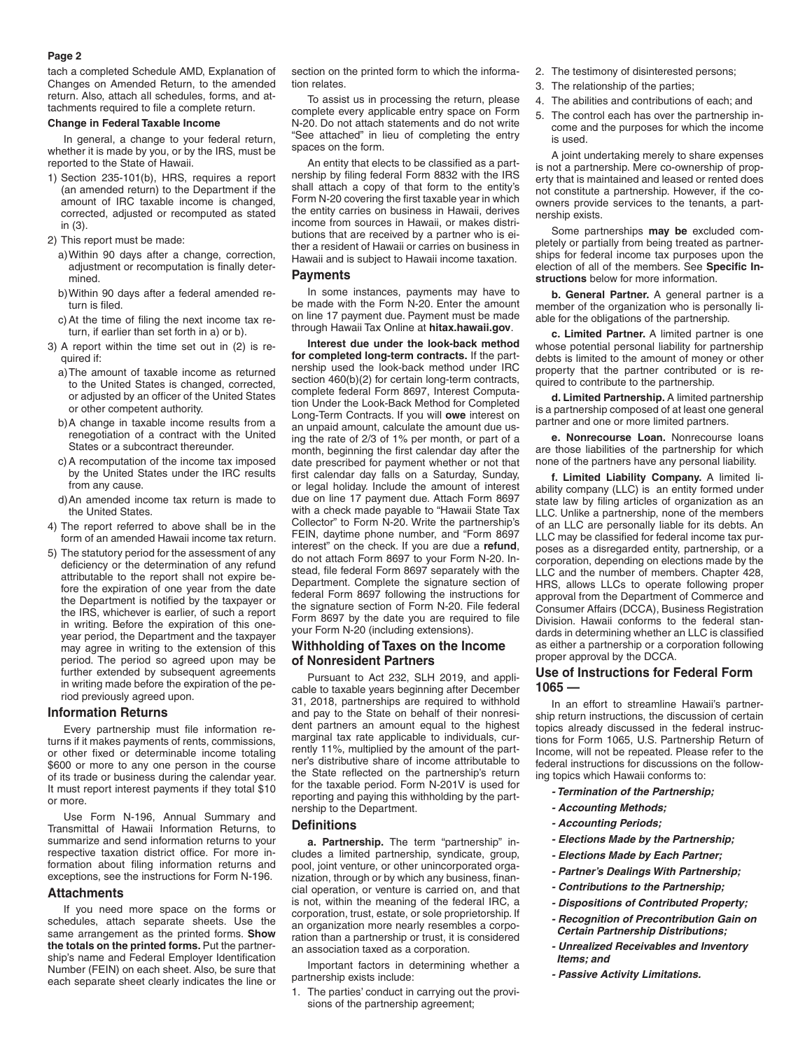#### **Page 2**

tach a completed Schedule AMD, Explanation of Changes on Amended Return, to the amended return. Also, attach all schedules, forms, and attachments required to file a complete return.

## **Change in Federal Taxable Income**

In general, a change to your federal return, whether it is made by you, or by the IRS, must be reported to the State of Hawaii.

1) Section 235-101(b), HRS, requires a report (an amended return) to the Department if the amount of IRC taxable income is changed, corrected, adjusted or recomputed as stated in (3).

2) This report must be made:

- a)Within 90 days after a change, correction, adjustment or recomputation is finally determined.
- b)Within 90 days after a federal amended return is filed.
- c)At the time of filing the next income tax return, if earlier than set forth in a) or b).
- 3) A report within the time set out in (2) is required if:
	- a)The amount of taxable income as returned to the United States is changed, corrected, or adjusted by an officer of the United States or other competent authority.
	- b)A change in taxable income results from a renegotiation of a contract with the United States or a subcontract thereunder.
	- c)A recomputation of the income tax imposed by the United States under the IRC results from any cause.
	- d)An amended income tax return is made to the United States.
- 4) The report referred to above shall be in the form of an amended Hawaii income tax return.
- 5) The statutory period for the assessment of any deficiency or the determination of any refund attributable to the report shall not expire before the expiration of one year from the date the Department is notified by the taxpayer or the IRS, whichever is earlier, of such a report in writing. Before the expiration of this oneyear period, the Department and the taxpayer may agree in writing to the extension of this period. The period so agreed upon may be further extended by subsequent agreements in writing made before the expiration of the period previously agreed upon.

## **Information Returns**

Every partnership must file information returns if it makes payments of rents, commissions, or other fixed or determinable income totaling \$600 or more to any one person in the course of its trade or business during the calendar year. It must report interest payments if they total \$10 or more.

Use Form N-196, Annual Summary and Transmittal of Hawaii Information Returns, to summarize and send information returns to your respective taxation district office. For more information about filing information returns and exceptions, see the instructions for Form N-196.

#### **Attachments**

If you need more space on the forms or schedules, attach separate sheets. Use the same arrangement as the printed forms. **Show the totals on the printed forms.** Put the partnership's name and Federal Employer Identification Number (FEIN) on each sheet. Also, be sure that each separate sheet clearly indicates the line or

section on the printed form to which the information relates.

To assist us in processing the return, please complete every applicable entry space on Form N-20. Do not attach statements and do not write "See attached" in lieu of completing the entry spaces on the form.

An entity that elects to be classified as a partnership by filing federal Form 8832 with the IRS shall attach a copy of that form to the entity's Form N-20 covering the first taxable year in which the entity carries on business in Hawaii, derives income from sources in Hawaii, or makes distributions that are received by a partner who is either a resident of Hawaii or carries on business in Hawaii and is subject to Hawaii income taxation.

## **Payments**

In some instances, payments may have to be made with the Form N-20. Enter the amount on line 17 payment due. Payment must be made through Hawaii Tax Online at **hitax.hawaii.gov**.

**Interest due under the look-back method for completed long-term contracts.** If the partnership used the look-back method under IRC section 460(b)(2) for certain long-term contracts, complete federal Form 8697, Interest Computation Under the Look-Back Method for Completed Long-Term Contracts. If you will **owe** interest on an unpaid amount, calculate the amount due using the rate of 2/3 of 1% per month, or part of a month, beginning the first calendar day after the date prescribed for payment whether or not that first calendar day falls on a Saturday, Sunday, or legal holiday. Include the amount of interest due on line 17 payment due. Attach Form 8697 with a check made payable to "Hawaii State Tax Collector" to Form N-20. Write the partnership's FEIN, daytime phone number, and "Form 8697 interest" on the check. If you are due a **refund**, do not attach Form 8697 to your Form N-20. Instead, file federal Form 8697 separately with the Department. Complete the signature section of federal Form 8697 following the instructions for the signature section of Form N-20. File federal Form 8697 by the date you are required to file your Form N-20 (including extensions).

## **Withholding of Taxes on the Income of Nonresident Partners**

Pursuant to Act 232, SLH 2019, and applicable to taxable years beginning after December 31, 2018, partnerships are required to withhold and pay to the State on behalf of their nonresident partners an amount equal to the highest marginal tax rate applicable to individuals, currently 11%, multiplied by the amount of the partner's distributive share of income attributable to the State reflected on the partnership's return for the taxable period. Form N-201V is used for reporting and paying this withholding by the partnership to the Department.

#### **Definitions**

**a. Partnership.** The term "partnership" includes a limited partnership, syndicate, group, pool, joint venture, or other unincorporated organization, through or by which any business, financial operation, or venture is carried on, and that is not, within the meaning of the federal IRC, a corporation, trust, estate, or sole proprietorship. If an organization more nearly resembles a corporation than a partnership or trust, it is considered an association taxed as a corporation.

Important factors in determining whether a partnership exists include:

1. The parties' conduct in carrying out the provisions of the partnership agreement;

- 2. The testimony of disinterested persons;
- 3. The relationship of the parties;
- 4. The abilities and contributions of each; and
- 5. The control each has over the partnership income and the purposes for which the income is used.

A joint undertaking merely to share expenses is not a partnership. Mere co-ownership of property that is maintained and leased or rented does not constitute a partnership. However, if the coowners provide services to the tenants, a partnership exists.

Some partnerships **may be** excluded completely or partially from being treated as partnerships for federal income tax purposes upon the election of all of the members. See **Specific Instructions** below for more information.

**b. General Partner.** A general partner is a member of the organization who is personally liable for the obligations of the partnership.

**c. Limited Partner.** A limited partner is one whose potential personal liability for partnership debts is limited to the amount of money or other property that the partner contributed or is required to contribute to the partnership.

**d. Limited Partnership.** A limited partnership is a partnership composed of at least one general partner and one or more limited partners.

**e. Nonrecourse Loan.** Nonrecourse loans are those liabilities of the partnership for which none of the partners have any personal liability.

**f. Limited Liability Company.** A limited liability company (LLC) is an entity formed under state law by filing articles of organization as an LLC. Unlike a partnership, none of the members of an LLC are personally liable for its debts. An LLC may be classified for federal income tax purposes as a disregarded entity, partnership, or a corporation, depending on elections made by the LLC and the number of members. Chapter 428, HRS, allows LLCs to operate following proper approval from the Department of Commerce and Consumer Affairs (DCCA), Business Registration Division. Hawaii conforms to the federal standards in determining whether an LLC is classified as either a partnership or a corporation following proper approval by the DCCA.

# **Use of Instructions for Federal Form 1065 —**

In an effort to streamline Hawaii's partnership return instructions, the discussion of certain topics already discussed in the federal instructions for Form 1065, U.S. Partnership Return of Income, will not be repeated. Please refer to the federal instructions for discussions on the following topics which Hawaii conforms to:

- *Termination of the Partnership;*
- *Accounting Methods;*
- *Accounting Periods;*
- *Elections Made by the Partnership;*
- *Elections Made by Each Partner;*
- *Partner's Dealings With Partnership;*
	- *Contributions to the Partnership;*
	- *Dispositions of Contributed Property;*
	- *Recognition of Precontribution Gain on Certain Partnership Distributions;*
	- *Unrealized Receivables and Inventory Items; and*
	- *Passive Activity Limitations.*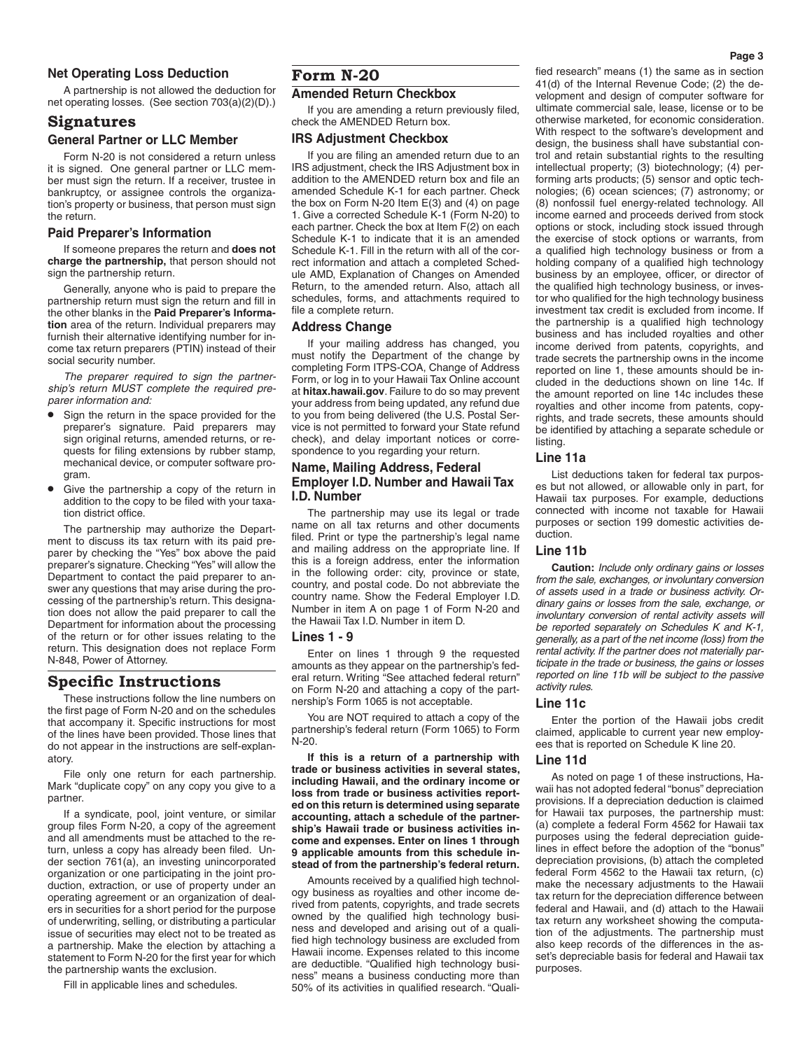# **Net Operating Loss Deduction**

A partnership is not allowed the deduction for net operating losses. (See section 703(a)(2)(D).)

# **Signatures**

## **General Partner or LLC Member**

Form N-20 is not considered a return unless it is signed. One general partner or LLC member must sign the return. If a receiver, trustee in bankruptcy, or assignee controls the organization's property or business, that person must sign the return.

## **Paid Preparer's Information**

If someone prepares the return and **does not charge the partnership,** that person should not sign the partnership return.

Generally, anyone who is paid to prepare the partnership return must sign the return and fill in the other blanks in the **Paid Preparer's Information** area of the return. Individual preparers may furnish their alternative identifying number for income tax return preparers (PTIN) instead of their social security number.

*The preparer required to sign the partnership's return MUST complete the required preparer information and:*

- Sign the return in the space provided for the preparer's signature. Paid preparers may sign original returns, amended returns, or requests for filing extensions by rubber stamp, mechanical device, or computer software program.
- Give the partnership a copy of the return in addition to the copy to be filed with your taxation district office.

The partnership may authorize the Department to discuss its tax return with its paid preparer by checking the "Yes" box above the paid preparer's signature. Checking "Yes" will allow the Department to contact the paid preparer to answer any questions that may arise during the processing of the partnership's return. This designation does not allow the paid preparer to call the Department for information about the processing of the return or for other issues relating to the return. This designation does not replace Form N-848, Power of Attorney.

# **Specific Instructions**

These instructions follow the line numbers on the first page of Form N-20 and on the schedules that accompany it. Specific instructions for most of the lines have been provided. Those lines that do not appear in the instructions are self-explanatory.

File only one return for each partnership. Mark "duplicate copy" on any copy you give to a partner.

If a syndicate, pool, joint venture, or similar group files Form N-20, a copy of the agreement and all amendments must be attached to the return, unless a copy has already been filed. Under section 761(a), an investing unincorporated organization or one participating in the joint production, extraction, or use of property under an operating agreement or an organization of dealers in securities for a short period for the purpose of underwriting, selling, or distributing a particular issue of securities may elect not to be treated as a partnership. Make the election by attaching a statement to Form N-20 for the first year for which the partnership wants the exclusion.

Fill in applicable lines and schedules.

# **Form N-20**

# **Amended Return Checkbox**

If you are amending a return previously filed, check the AMENDED Return box.

## **IRS Adjustment Checkbox**

If you are filing an amended return due to an IRS adjustment, check the IRS Adjustment box in addition to the AMENDED return box and file an amended Schedule K-1 for each partner. Check the box on Form N-20 Item E(3) and (4) on page 1. Give a corrected Schedule K-1 (Form N-20) to each partner. Check the box at Item F(2) on each Schedule K-1 to indicate that it is an amended Schedule K-1. Fill in the return with all of the correct information and attach a completed Schedule AMD, Explanation of Changes on Amended Return, to the amended return. Also, attach all schedules, forms, and attachments required to file a complete return.

## **Address Change**

If your mailing address has changed, you must notify the Department of the change by completing Form ITPS-COA, Change of Address Form, or log in to your Hawaii Tax Online account at **hitax.hawaii.gov**. Failure to do so may prevent your address from being updated, any refund due to you from being delivered (the U.S. Postal Service is not permitted to forward your State refund check), and delay important notices or correspondence to you regarding your return.

# **Name, Mailing Address, Federal Employer I.D. Number and Hawaii Tax I.D. Number**

The partnership may use its legal or trade name on all tax returns and other documents filed. Print or type the partnership's legal name and mailing address on the appropriate line. If this is a foreign address, enter the information in the following order: city, province or state, country, and postal code. Do not abbreviate the country name. Show the Federal Employer I.D. Number in item A on page 1 of Form N-20 and the Hawaii Tax I.D. Number in item D.

#### **Lines 1 - 9**

Enter on lines 1 through 9 the requested amounts as they appear on the partnership's federal return. Writing "See attached federal return" on Form N-20 and attaching a copy of the partnership's Form 1065 is not acceptable.

You are NOT required to attach a copy of the partnership's federal return (Form 1065) to Form N-20.

**If this is a return of a partnership with trade or business activities in several states, including Hawaii, and the ordinary income or loss from trade or business activities reported on this return is determined using separate accounting, attach a schedule of the partnership's Hawaii trade or business activities income and expenses. Enter on lines 1 through 9 applicable amounts from this schedule instead of from the partnership's federal return.**

Amounts received by a qualified high technology business as royalties and other income derived from patents, copyrights, and trade secrets owned by the qualified high technology business and developed and arising out of a qualified high technology business are excluded from Hawaii income. Expenses related to this income are deductible. "Qualified high technology business" means a business conducting more than 50% of its activities in qualified research. "Qualified research" means (1) the same as in section 41(d) of the Internal Revenue Code; (2) the development and design of computer software for ultimate commercial sale, lease, license or to be otherwise marketed, for economic consideration. With respect to the software's development and design, the business shall have substantial control and retain substantial rights to the resulting intellectual property; (3) biotechnology; (4) performing arts products; (5) sensor and optic technologies; (6) ocean sciences; (7) astronomy; or (8) nonfossil fuel energy-related technology. All income earned and proceeds derived from stock options or stock, including stock issued through the exercise of stock options or warrants, from a qualified high technology business or from a holding company of a qualified high technology business by an employee, officer, or director of the qualified high technology business, or investor who qualified for the high technology business investment tax credit is excluded from income. If the partnership is a qualified high technology business and has included royalties and other income derived from patents, copyrights, and trade secrets the partnership owns in the income reported on line 1, these amounts should be included in the deductions shown on line 14c. If the amount reported on line 14c includes these royalties and other income from patents, copyrights, and trade secrets, these amounts should be identified by attaching a separate schedule or listing.

#### **Line 11a**

List deductions taken for federal tax purposes but not allowed, or allowable only in part, for Hawaii tax purposes. For example, deductions connected with income not taxable for Hawaii purposes or section 199 domestic activities deduction.

#### **Line 11b**

**Caution:** *Include only ordinary gains or losses from the sale, exchanges, or involuntary conversion of assets used in a trade or business activity. Ordinary gains or losses from the sale, exchange, or involuntary conversion of rental activity assets will be reported separately on Schedules K and K-1, generally, as a part of the net income (loss) from the rental activity. If the partner does not materially participate in the trade or business, the gains or losses reported on line 11b will be subject to the passive activity rules.*

#### **Line 11c**

Enter the portion of the Hawaii jobs credit claimed, applicable to current year new employees that is reported on Schedule K line 20.

#### **Line 11d**

As noted on page 1 of these instructions, Hawaii has not adopted federal "bonus" depreciation provisions. If a depreciation deduction is claimed for Hawaii tax purposes, the partnership must: (a) complete a federal Form 4562 for Hawaii tax purposes using the federal depreciation guidelines in effect before the adoption of the "bonus" depreciation provisions, (b) attach the completed federal Form 4562 to the Hawaii tax return, (c) make the necessary adjustments to the Hawaii tax return for the depreciation difference between federal and Hawaii, and (d) attach to the Hawaii tax return any worksheet showing the computation of the adjustments. The partnership must also keep records of the differences in the asset's depreciable basis for federal and Hawaii tax purposes.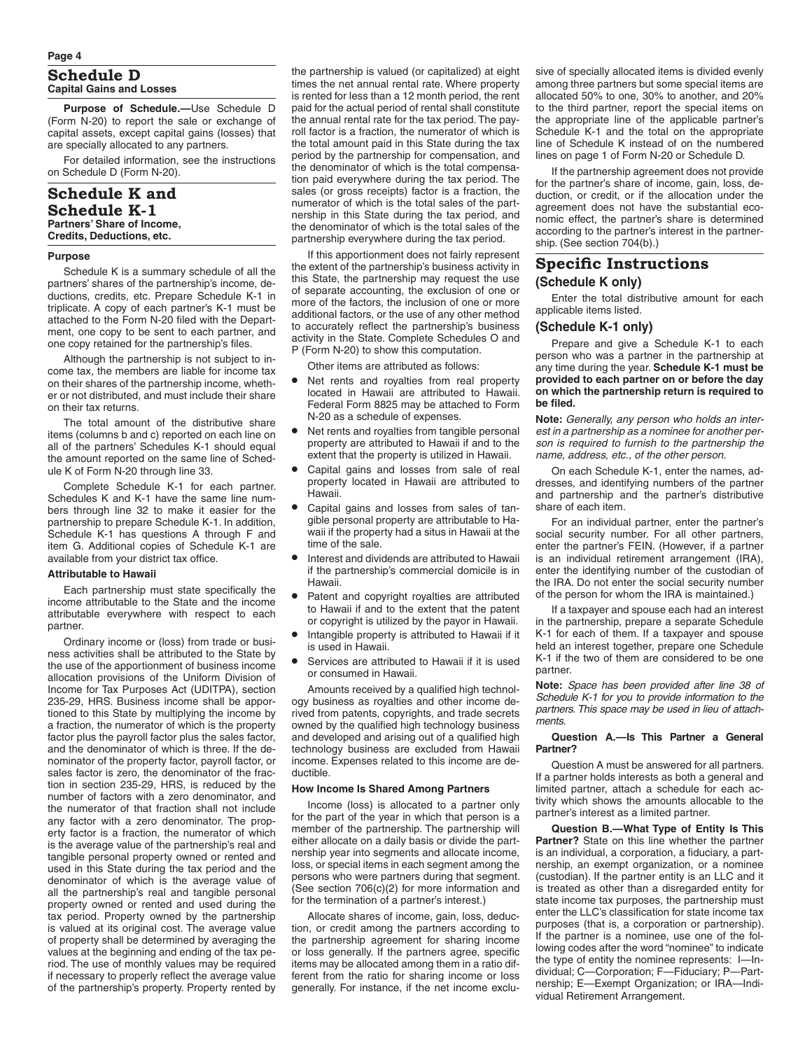# **Schedule D Capital Gains and Losses**

**Purpose of Schedule.—**Use Schedule D (Form N-20) to report the sale or exchange of capital assets, except capital gains (losses) that are specially allocated to any partners.

For detailed information, see the instructions on Schedule D (Form N-20).

# **Schedule K and Schedule K-1 Partners' Share of Income, Credits, Deductions, etc.**

#### **Purpose**

Schedule K is a summary schedule of all the partners' shares of the partnership's income, deductions, credits, etc. Prepare Schedule K-1 in triplicate. A copy of each partner's K-1 must be attached to the Form N-20 filed with the Department, one copy to be sent to each partner, and one copy retained for the partnership's files.

Although the partnership is not subject to income tax, the members are liable for income tax on their shares of the partnership income, whether or not distributed, and must include their share on their tax returns.

The total amount of the distributive share items (columns b and c) reported on each line on all of the partners' Schedules K-1 should equal the amount reported on the same line of Schedule K of Form N-20 through line 33.

Complete Schedule K-1 for each partner. Schedules K and K-1 have the same line numbers through line 32 to make it easier for the partnership to prepare Schedule K-1. In addition Schedule K-1 has questions A through F and item G. Additional copies of Schedule K-1 are available from your district tax office.

#### **Attributable to Hawaii**

Each partnership must state specifically the income attributable to the State and the income attributable everywhere with respect to each partner.

Ordinary income or (loss) from trade or business activities shall be attributed to the State by the use of the apportionment of business income allocation provisions of the Uniform Division of Income for Tax Purposes Act (UDITPA), section 235-29, HRS. Business income shall be apportioned to this State by multiplying the income by a fraction, the numerator of which is the property factor plus the payroll factor plus the sales factor, and the denominator of which is three. If the denominator of the property factor, payroll factor, or sales factor is zero, the denominator of the fraction in section 235-29, HRS, is reduced by the number of factors with a zero denominator, and the numerator of that fraction shall not include any factor with a zero denominator. The property factor is a fraction, the numerator of which is the average value of the partnership's real and tangible personal property owned or rented and used in this State during the tax period and the denominator of which is the average value of all the partnership's real and tangible personal property owned or rented and used during the tax period. Property owned by the partnership is valued at its original cost. The average value of property shall be determined by averaging the values at the beginning and ending of the tax period. The use of monthly values may be required if necessary to properly reflect the average value of the partnership's property. Property rented by

the partnership is valued (or capitalized) at eight times the net annual rental rate. Where property is rented for less than a 12 month period, the rent paid for the actual period of rental shall constitute the annual rental rate for the tax period. The payroll factor is a fraction, the numerator of which is the total amount paid in this State during the tax period by the partnership for compensation, and the denominator of which is the total compensation paid everywhere during the tax period. The sales (or gross receipts) factor is a fraction, the numerator of which is the total sales of the partnership in this State during the tax period, and the denominator of which is the total sales of the partnership everywhere during the tax period.

If this apportionment does not fairly represent the extent of the partnership's business activity in this State, the partnership may request the use of separate accounting, the exclusion of one or more of the factors, the inclusion of one or more additional factors, or the use of any other method to accurately reflect the partnership's business activity in the State. Complete Schedules O and P (Form N-20) to show this computation.

Other items are attributed as follows:

- Net rents and royalties from real property located in Hawaii are attributed to Hawaii. Federal Form 8825 may be attached to Form N-20 as a schedule of expenses.
- Net rents and royalties from tangible personal property are attributed to Hawaii if and to the extent that the property is utilized in Hawaii.
- Capital gains and losses from sale of real property located in Hawaii are attributed to Hawaii.
- Capital gains and losses from sales of tangible personal property are attributable to Hawaii if the property had a situs in Hawaii at the time of the sale.
- Interest and dividends are attributed to Hawaii if the partnership's commercial domicile is in Hawaii.
- Patent and copyright royalties are attributed to Hawaii if and to the extent that the patent or copyright is utilized by the payor in Hawaii.
- Intangible property is attributed to Hawaii if it is used in Hawaii.
- Services are attributed to Hawaii if it is used or consumed in Hawaii.

Amounts received by a qualified high technology business as royalties and other income derived from patents, copyrights, and trade secrets owned by the qualified high technology business and developed and arising out of a qualified high technology business are excluded from Hawaii income. Expenses related to this income are deductible.

#### **How Income Is Shared Among Partners**

Income (loss) is allocated to a partner only for the part of the year in which that person is a member of the partnership. The partnership will either allocate on a daily basis or divide the partnership year into segments and allocate income, loss, or special items in each segment among the persons who were partners during that segment. (See section 706(c)(2) for more information and for the termination of a partner's interest.)

Allocate shares of income, gain, loss, deduction, or credit among the partners according to the partnership agreement for sharing income or loss generally. If the partners agree, specific items may be allocated among them in a ratio different from the ratio for sharing income or loss generally. For instance, if the net income exclusive of specially allocated items is divided evenly among three partners but some special items are allocated 50% to one, 30% to another, and 20% to the third partner, report the special items on the appropriate line of the applicable partner's Schedule K-1 and the total on the appropriate line of Schedule K instead of on the numbered lines on page 1 of Form N-20 or Schedule D.

If the partnership agreement does not provide for the partner's share of income, gain, loss, deduction, or credit, or if the allocation under the agreement does not have the substantial economic effect, the partner's share is determined according to the partner's interest in the partnership. (See section 704(b).)

# **Specific Instructions (Schedule K only)**

Enter the total distributive amount for each applicable items listed.

## **(Schedule K-1 only)**

Prepare and give a Schedule K-1 to each person who was a partner in the partnership at any time during the year. **Schedule K-1 must be provided to each partner on or before the day on which the partnership return is required to be filed.**

**Note:** *Generally, any person who holds an interest in a partnership as a nominee for another person is required to furnish to the partnership the name, address, etc., of the other person.*

On each Schedule K-1, enter the names, addresses, and identifying numbers of the partner and partnership and the partner's distributive share of each item.

For an individual partner, enter the partner's social security number. For all other partners, enter the partner's FEIN. (However, if a partner is an individual retirement arrangement (IRA), enter the identifying number of the custodian of the IRA. Do not enter the social security number of the person for whom the IRA is maintained.)

If a taxpayer and spouse each had an interest in the partnership, prepare a separate Schedule K-1 for each of them. If a taxpayer and spouse held an interest together, prepare one Schedule K-1 if the two of them are considered to be one partner.

**Note:** *Space has been provided after line 38 of Schedule K-1 for you to provide information to the partners. This space may be used in lieu of attachments.*

#### **Question A.—Is This Partner a General Partner?**

Question A must be answered for all partners. If a partner holds interests as both a general and limited partner, attach a schedule for each activity which shows the amounts allocable to the partner's interest as a limited partner.

**Question B.—What Type of Entity Is This Partner?** State on this line whether the partner is an individual, a corporation, a fiduciary, a partnership, an exempt organization, or a nominee (custodian). If the partner entity is an LLC and it is treated as other than a disregarded entity for state income tax purposes, the partnership must enter the LLC's classification for state income tax purposes (that is, a corporation or partnership). If the partner is a nominee, use one of the following codes after the word "nominee" to indicate the type of entity the nominee represents: I—Individual; C—Corporation; F—Fiduciary; P—Partnership; E—Exempt Organization; or IRA—Individual Retirement Arrangement.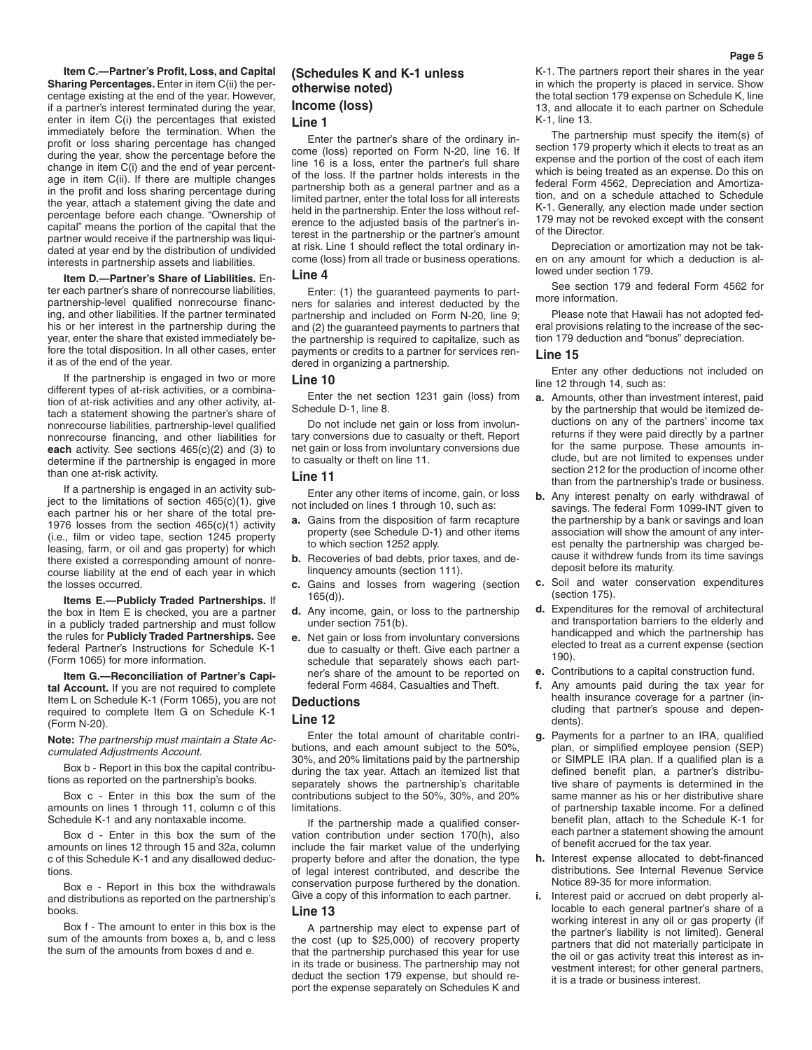**Item C.—Partner's Profit, Loss, and Capital Sharing Percentages.** Enter in item C(ii) the percentage existing at the end of the year. However, if a partner's interest terminated during the year, enter in item C(i) the percentages that existed immediately before the termination. When the profit or loss sharing percentage has changed during the year, show the percentage before the change in item C(i) and the end of year percentage in item C(ii). If there are multiple changes in the profit and loss sharing percentage during the year, attach a statement giving the date and percentage before each change. "Ownership of capital" means the portion of the capital that the partner would receive if the partnership was liquidated at year end by the distribution of undivided interests in partnership assets and liabilities.

**Item D.—Partner's Share of Liabilities.** Enter each partner's share of nonrecourse liabilities, partnership-level qualified nonrecourse financing, and other liabilities. If the partner terminated his or her interest in the partnership during the year, enter the share that existed immediately before the total disposition. In all other cases, enter it as of the end of the year.

If the partnership is engaged in two or more different types of at-risk activities, or a combination of at-risk activities and any other activity, attach a statement showing the partner's share of nonrecourse liabilities, partnership-level qualified nonrecourse financing, and other liabilities for **each** activity. See sections 465(c)(2) and (3) to determine if the partnership is engaged in more than one at-risk activity.

If a partnership is engaged in an activity subiect to the limitations of section  $465(c)(1)$ , give each partner his or her share of the total pre-1976 losses from the section 465(c)(1) activity (i.e., film or video tape, section 1245 property leasing, farm, or oil and gas property) for which there existed a corresponding amount of nonrecourse liability at the end of each year in which the losses occurred.

**Items E.—Publicly Traded Partnerships.** If the box in Item E is checked, you are a partner in a publicly traded partnership and must follow the rules for **Publicly Traded Partnerships.** See federal Partner's Instructions for Schedule K-1 (Form 1065) for more information.

**Item G.—Reconciliation of Partner's Capital Account.** If you are not required to complete Item L on Schedule K-1 (Form 1065), you are not required to complete Item G on Schedule K-1 (Form N-20).

**Note:** *The partnership must maintain a State Accumulated Adjustments Account.*

Box b - Report in this box the capital contributions as reported on the partnership's books.

Box c - Enter in this box the sum of the amounts on lines 1 through 11, column c of this Schedule K-1 and any nontaxable income.

Box d - Enter in this box the sum of the amounts on lines 12 through 15 and 32a, column c of this Schedule K-1 and any disallowed deductions.

Box e - Report in this box the withdrawals and distributions as reported on the partnership's books.

Box f - The amount to enter in this box is the sum of the amounts from boxes a, b, and c less the sum of the amounts from boxes d and e.

# **(Schedules K and K-1 unless otherwise noted) Income (loss) Line 1**

Enter the partner's share of the ordinary income (loss) reported on Form N-20, line 16. If line 16 is a loss, enter the partner's full share of the loss. If the partner holds interests in the partnership both as a general partner and as a limited partner, enter the total loss for all interests held in the partnership. Enter the loss without reference to the adjusted basis of the partner's interest in the partnership or the partner's amount at risk. Line 1 should reflect the total ordinary income (loss) from all trade or business operations.

#### **Line 4**

Enter: (1) the guaranteed payments to partners for salaries and interest deducted by the partnership and included on Form N-20, line 9; and (2) the guaranteed payments to partners that the partnership is required to capitalize, such as payments or credits to a partner for services rendered in organizing a partnership.

#### **Line 10**

Enter the net section 1231 gain (loss) from Schedule D-1, line 8.

Do not include net gain or loss from involuntary conversions due to casualty or theft. Report net gain or loss from involuntary conversions due to casualty or theft on line 11.

#### **Line 11**

Enter any other items of income, gain, or loss not included on lines 1 through 10, such as:

- **a.** Gains from the disposition of farm recapture property (see Schedule D-1) and other items to which section 1252 apply.
- **b.** Recoveries of bad debts, prior taxes, and delinquency amounts (section 111).
- **c.** Gains and losses from wagering (section 165(d)).
- **d.** Any income, gain, or loss to the partnership under section 751(b).
- **e.** Net gain or loss from involuntary conversions due to casualty or theft. Give each partner a schedule that separately shows each partner's share of the amount to be reported on federal Form 4684, Casualties and Theft.

## **Deductions**

#### **Line 12**

Enter the total amount of charitable contributions, and each amount subject to the 50%, 30%, and 20% limitations paid by the partnership during the tax year. Attach an itemized list that separately shows the partnership's charitable contributions subject to the 50%, 30%, and 20% limitations.

If the partnership made a qualified conservation contribution under section 170(h), also include the fair market value of the underlying property before and after the donation, the type of legal interest contributed, and describe the conservation purpose furthered by the donation. Give a copy of this information to each partner.

#### **Line 13**

A partnership may elect to expense part of the cost (up to \$25,000) of recovery property that the partnership purchased this year for use in its trade or business. The partnership may not deduct the section 179 expense, but should report the expense separately on Schedules K and K-1. The partners report their shares in the year in which the property is placed in service. Show the total section 179 expense on Schedule K, line 13, and allocate it to each partner on Schedule K-1, line 13.

The partnership must specify the item(s) of section 179 property which it elects to treat as an expense and the portion of the cost of each item which is being treated as an expense. Do this on federal Form 4562, Depreciation and Amortization, and on a schedule attached to Schedule K-1. Generally, any election made under section 179 may not be revoked except with the consent of the Director.

Depreciation or amortization may not be taken on any amount for which a deduction is allowed under section 179.

See section 179 and federal Form 4562 for more information.

Please note that Hawaii has not adopted federal provisions relating to the increase of the section 179 deduction and "bonus" depreciation.

#### **Line 15**

Enter any other deductions not included on line 12 through 14, such as:

- **a.** Amounts, other than investment interest, paid by the partnership that would be itemized deductions on any of the partners' income tax returns if they were paid directly by a partner for the same purpose. These amounts include, but are not limited to expenses under section 212 for the production of income other than from the partnership's trade or business.
- **b.** Any interest penalty on early withdrawal of savings. The federal Form 1099-INT given to the partnership by a bank or savings and loan association will show the amount of any interest penalty the partnership was charged because it withdrew funds from its time savings deposit before its maturity.
- **c.** Soil and water conservation expenditures (section 175).
- **d.** Expenditures for the removal of architectural and transportation barriers to the elderly and handicapped and which the partnership has elected to treat as a current expense (section 190).
- **e.** Contributions to a capital construction fund.
- **f.** Any amounts paid during the tax year for health insurance coverage for a partner (including that partner's spouse and dependents).
- **g.** Payments for a partner to an IRA, qualified plan, or simplified employee pension (SEP) or SIMPLE IRA plan. If a qualified plan is a defined benefit plan, a partner's distributive share of payments is determined in the same manner as his or her distributive share of partnership taxable income. For a defined benefit plan, attach to the Schedule K-1 for each partner a statement showing the amount of benefit accrued for the tax year.
- **h.** Interest expense allocated to debt-financed distributions. See Internal Revenue Service Notice 89-35 for more information.
- **i.** Interest paid or accrued on debt properly allocable to each general partner's share of a working interest in any oil or gas property (if the partner's liability is not limited). General partners that did not materially participate in the oil or gas activity treat this interest as investment interest; for other general partners, it is a trade or business interest.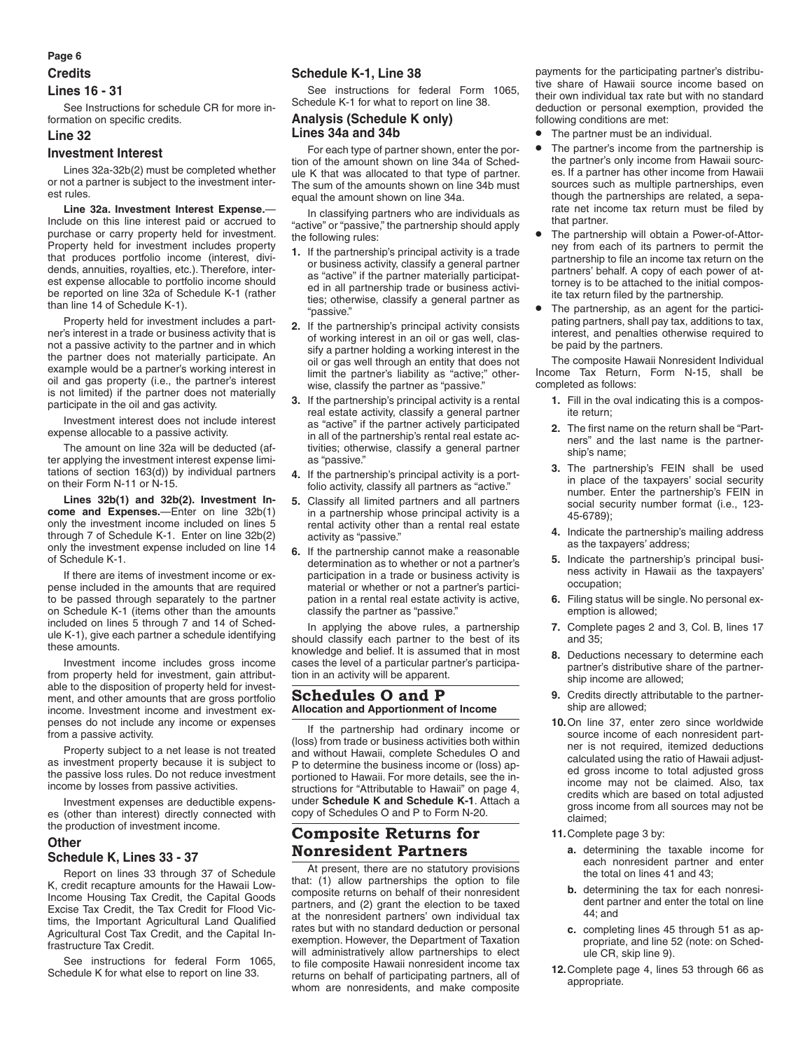## **Page 6**

# **Credits Lines 16 - 31**

See Instructions for schedule CR for more information on specific credits.

#### **Line 32**

## **Investment Interest**

Lines 32a-32b(2) must be completed whether or not a partner is subject to the investment interest rules.

**Line 32a. Investment Interest Expense.**— Include on this line interest paid or accrued to purchase or carry property held for investment. Property held for investment includes property that produces portfolio income (interest, dividends, annuities, royalties, etc.). Therefore, interest expense allocable to portfolio income should be reported on line 32a of Schedule K-1 (rather than line 14 of Schedule K-1).

Property held for investment includes a partner's interest in a trade or business activity that is not a passive activity to the partner and in which the partner does not materially participate. An example would be a partner's working interest in oil and gas property (i.e., the partner's interest is not limited) if the partner does not materially participate in the oil and gas activity.

Investment interest does not include interest expense allocable to a passive activity.

The amount on line 32a will be deducted (after applying the investment interest expense limitations of section 163(d)) by individual partners on their Form N-11 or N-15.

**Lines 32b(1) and 32b(2). Investment Income and Expenses.**—Enter on line 32b(1) only the investment income included on lines 5 through 7 of Schedule K-1. Enter on line 32b(2) only the investment expense included on line 14 of Schedule K-1.

If there are items of investment income or expense included in the amounts that are required to be passed through separately to the partner on Schedule K-1 (items other than the amounts included on lines 5 through 7 and 14 of Schedule K-1), give each partner a schedule identifying these amounts.

Investment income includes gross income from property held for investment, gain attributable to the disposition of property held for investment, and other amounts that are gross portfolio income. Investment income and investment expenses do not include any income or expenses from a passive activity.

Property subject to a net lease is not treated as investment property because it is subject to the passive loss rules. Do not reduce investment income by losses from passive activities.

Investment expenses are deductible expenses (other than interest) directly connected with the production of investment income.

## **Other**

# **Schedule K, Lines 33 - 37**

Report on lines 33 through 37 of Schedule K, credit recapture amounts for the Hawaii Low-Income Housing Tax Credit, the Capital Goods Excise Tax Credit, the Tax Credit for Flood Victims, the Important Agricultural Land Qualified Agricultural Cost Tax Credit, and the Capital Infrastructure Tax Credit.

See instructions for federal Form 1065, Schedule K for what else to report on line 33.

# **Schedule K-1, Line 38**

See instructions for federal Form 1065, Schedule K-1 for what to report on line 38.

# **Analysis (Schedule K only) Lines 34a and 34b**

For each type of partner shown, enter the portion of the amount shown on line 34a of Schedule K that was allocated to that type of partner. The sum of the amounts shown on line 34b must equal the amount shown on line 34a.

In classifying partners who are individuals as "active" or "passive," the partnership should apply the following rules:

- **1.** If the partnership's principal activity is a trade or business activity, classify a general partner as "active" if the partner materially participated in all partnership trade or business activities; otherwise, classify a general partner as "passive."
- **2.** If the partnership's principal activity consists of working interest in an oil or gas well, classify a partner holding a working interest in the oil or gas well through an entity that does not limit the partner's liability as "active;" otherwise, classify the partner as "passive."
- **3.** If the partnership's principal activity is a rental real estate activity, classify a general partner as "active" if the partner actively participated in all of the partnership's rental real estate activities; otherwise, classify a general partner as "passive."
- **4.** If the partnership's principal activity is a portfolio activity, classify all partners as "active."
- **5.** Classify all limited partners and all partners in a partnership whose principal activity is a rental activity other than a rental real estate activity as "passive."
- **6.** If the partnership cannot make a reasonable determination as to whether or not a partner's participation in a trade or business activity is material or whether or not a partner's participation in a rental real estate activity is active, classify the partner as "passive."

In applying the above rules, a partnership should classify each partner to the best of its knowledge and belief. It is assumed that in most cases the level of a particular partner's participation in an activity will be apparent.

# **Schedules O and P Allocation and Apportionment of Income**

If the partnership had ordinary income or (loss) from trade or business activities both within and without Hawaii, complete Schedules O and P to determine the business income or (loss) apportioned to Hawaii. For more details, see the instructions for "Attributable to Hawaii" on page 4, under **Schedule K and Schedule K-1**. Attach a copy of Schedules O and P to Form N-20.

# **Composite Returns for Nonresident Partners**

At present, there are no statutory provisions that: (1) allow partnerships the option to file composite returns on behalf of their nonresident partners, and (2) grant the election to be taxed at the nonresident partners' own individual tax rates but with no standard deduction or personal exemption. However, the Department of Taxation will administratively allow partnerships to elect to file composite Hawaii nonresident income tax returns on behalf of participating partners, all of whom are nonresidents, and make composite payments for the participating partner's distributive share of Hawaii source income based on their own individual tax rate but with no standard deduction or personal exemption, provided the following conditions are met:

- The partner must be an individual.
- The partner's income from the partnership is the partner's only income from Hawaii sources. If a partner has other income from Hawaii sources such as multiple partnerships, even though the partnerships are related, a separate net income tax return must be filed by that partner.
- The partnership will obtain a Power-of-Attorney from each of its partners to permit the partnership to file an income tax return on the partners' behalf. A copy of each power of attorney is to be attached to the initial composite tax return filed by the partnership.
- The partnership, as an agent for the participating partners, shall pay tax, additions to tax, interest, and penalties otherwise required to be paid by the partners.

The composite Hawaii Nonresident Individual Income Tax Return, Form N-15, shall be completed as follows:

- **1.** Fill in the oval indicating this is a composite return;
- **2.** The first name on the return shall be "Partners" and the last name is the partnership's name;
- **3.** The partnership's FEIN shall be used in place of the taxpayers' social security number. Enter the partnership's FEIN in social security number format (i.e., 123- 45-6789);
- **4.** Indicate the partnership's mailing address as the taxpayers' address;
- **5.** Indicate the partnership's principal business activity in Hawaii as the taxpayers' occupation;
- **6.** Filing status will be single. No personal exemption is allowed;
- **7.** Complete pages 2 and 3, Col. B, lines 17 and 35;
- **8.** Deductions necessary to determine each partner's distributive share of the partnership income are allowed;
- **9.** Credits directly attributable to the partnership are allowed;
- **10.**On line 37, enter zero since worldwide source income of each nonresident partner is not required, itemized deductions calculated using the ratio of Hawaii adjusted gross income to total adjusted gross income may not be claimed. Also, tax credits which are based on total adjusted gross income from all sources may not be claimed;
- **11.**Complete page 3 by:
	- **a.** determining the taxable income for each nonresident partner and enter the total on lines 41 and 43;
	- **b.** determining the tax for each nonresident partner and enter the total on line 44; and
	- **c.** completing lines 45 through 51 as appropriate, and line 52 (note: on Schedule CR, skip line 9).
- **12.**Complete page 4, lines 53 through 66 as appropriate.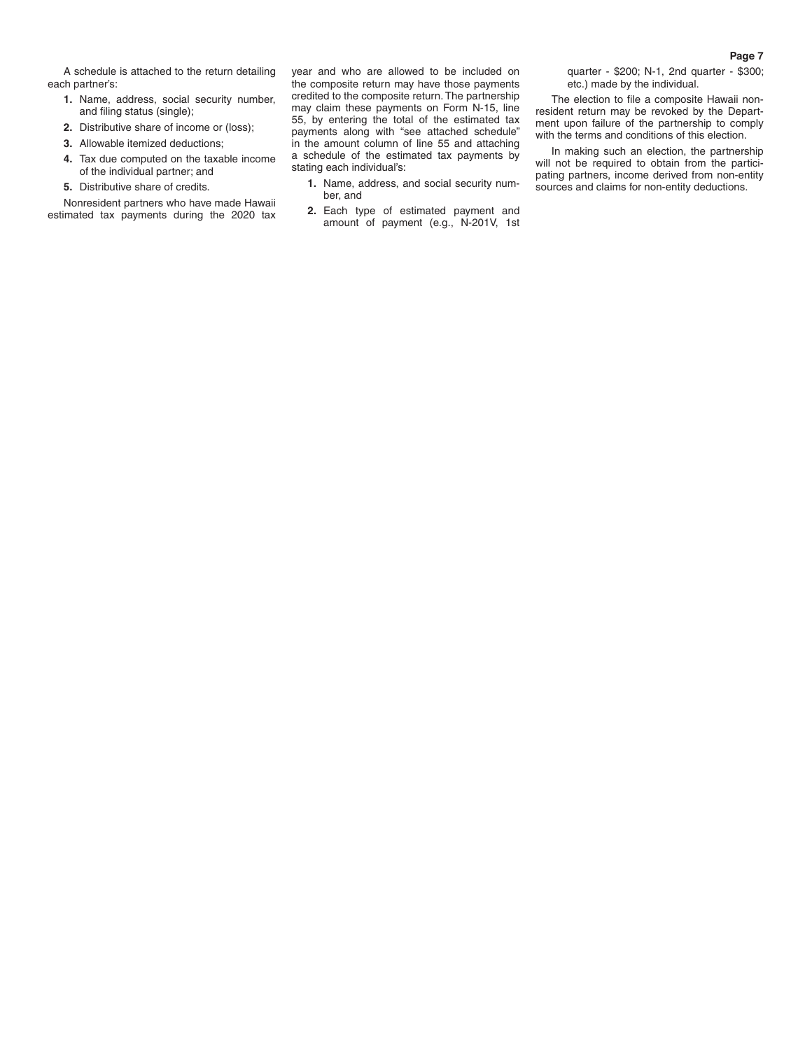A schedule is attached to the return detailing each partner's:

- **1.** Name, address, social security number, and filing status (single);
- **2.** Distributive share of income or (loss);
- **3.** Allowable itemized deductions;
- **4.** Tax due computed on the taxable income of the individual partner; and
- **5.** Distributive share of credits.

Nonresident partners who have made Hawaii estimated tax payments during the 2020 tax year and who are allowed to be included on the composite return may have those payments credited to the composite return. The partnership may claim these payments on Form N-15, line 55, by entering the total of the estimated tax payments along with "see attached schedule" in the amount column of line 55 and attaching a schedule of the estimated tax payments by stating each individual's:

- **1.** Name, address, and social security number, and
- **2.** Each type of estimated payment and amount of payment (e.g., N-201V, 1st

quarter - \$200; N-1, 2nd quarter - \$300; etc.) made by the individual.

The election to file a composite Hawaii nonresident return may be revoked by the Department upon failure of the partnership to comply with the terms and conditions of this election.

In making such an election, the partnership will not be required to obtain from the participating partners, income derived from non-entity sources and claims for non-entity deductions.